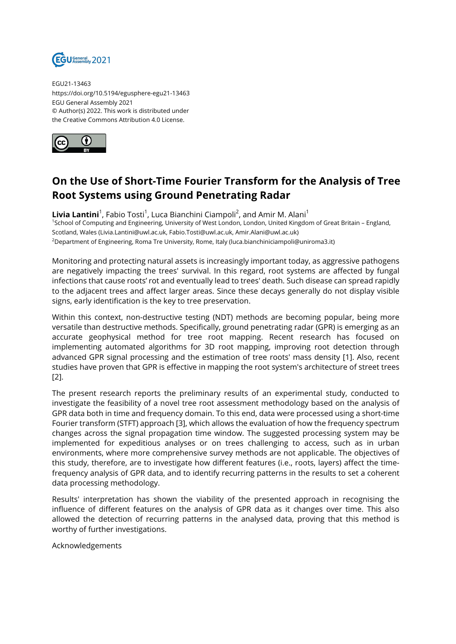

EGU21-13463 https://doi.org/10.5194/egusphere-egu21-13463 EGU General Assembly 2021 © Author(s) 2022. This work is distributed under the Creative Commons Attribution 4.0 License.



## **On the Use of Short-Time Fourier Transform for the Analysis of Tree Root Systems using Ground Penetrating Radar**

 $\boldsymbol{\mathsf{Livia} \text{ Lantini}}^1$ , Fabio Tosti<sup>1</sup>, Luca Bianchini Ciampoli<sup>2</sup>, and Amir M. Alani<sup>1</sup> <sup>1</sup>School of Computing and Engineering, University of West London, London, United Kingdom of Great Britain - England, Scotland, Wales (Livia.Lantini@uwl.ac.uk, Fabio.Tosti@uwl.ac.uk, Amir.Alani@uwl.ac.uk) <sup>2</sup>Department of Engineering, Roma Tre University, Rome, Italy (luca.bianchiniciampoli@uniroma3.it)

Monitoring and protecting natural assets is increasingly important today, as aggressive pathogens are negatively impacting the trees' survival. In this regard, root systems are affected by fungal infections that cause roots' rot and eventually lead to trees' death. Such disease can spread rapidly to the adjacent trees and affect larger areas. Since these decays generally do not display visible signs, early identification is the key to tree preservation.

Within this context, non-destructive testing (NDT) methods are becoming popular, being more versatile than destructive methods. Specifically, ground penetrating radar (GPR) is emerging as an accurate geophysical method for tree root mapping. Recent research has focused on implementing automated algorithms for 3D root mapping, improving root detection through advanced GPR signal processing and the estimation of tree roots' mass density [1]. Also, recent studies have proven that GPR is effective in mapping the root system's architecture of street trees [2].

The present research reports the preliminary results of an experimental study, conducted to investigate the feasibility of a novel tree root assessment methodology based on the analysis of GPR data both in time and frequency domain. To this end, data were processed using a short-time Fourier transform (STFT) approach [3], which allows the evaluation of how the frequency spectrum changes across the signal propagation time window. The suggested processing system may be implemented for expeditious analyses or on trees challenging to access, such as in urban environments, where more comprehensive survey methods are not applicable. The objectives of this study, therefore, are to investigate how different features (i.e., roots, layers) affect the timefrequency analysis of GPR data, and to identify recurring patterns in the results to set a coherent data processing methodology.

Results' interpretation has shown the viability of the presented approach in recognising the influence of different features on the analysis of GPR data as it changes over time. This also allowed the detection of recurring patterns in the analysed data, proving that this method is worthy of further investigations.

Acknowledgements